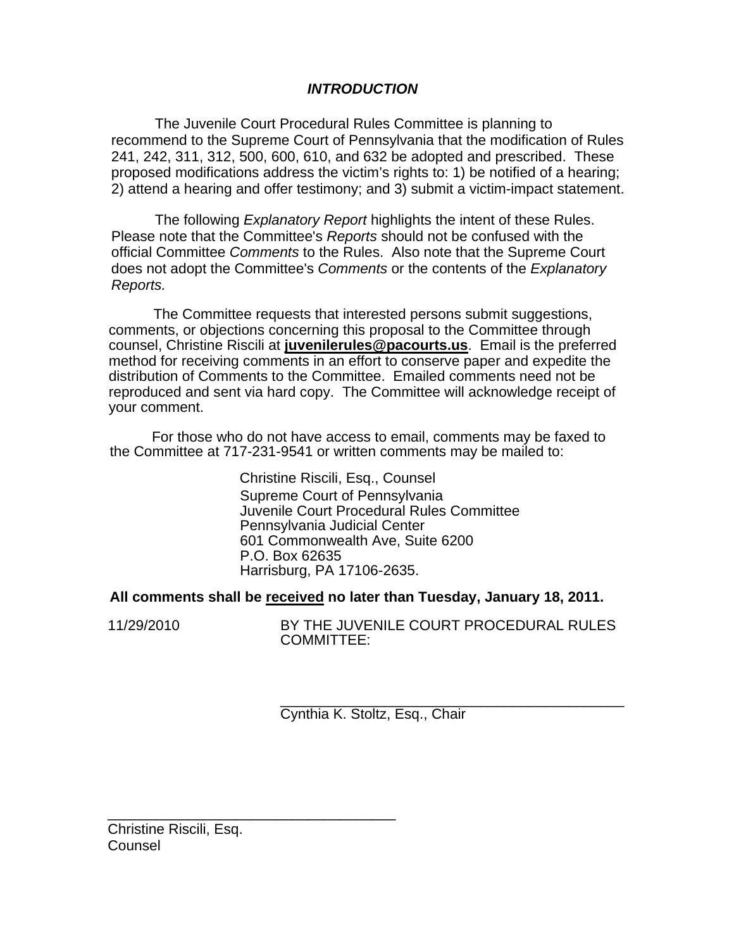# *INTRODUCTION*

The Juvenile Court Procedural Rules Committee is planning to recommend to the Supreme Court of Pennsylvania that the modification of Rules 241, 242, 311, 312, 500, 600, 610, and 632 be adopted and prescribed. These proposed modifications address the victim's rights to: 1) be notified of a hearing; 2) attend a hearing and offer testimony; and 3) submit a victim-impact statement.

The following *Explanatory Report* highlights the intent of these Rules. Please note that the Committee's *Reports* should not be confused with the official Committee *Comments* to the Rules. Also note that the Supreme Court does not adopt the Committee's *Comments* or the contents of the *Explanatory Reports.* 

The Committee requests that interested persons submit suggestions, comments, or objections concerning this proposal to the Committee through counsel, Christine Riscili at **juvenilerules@pacourts.us**. Email is the preferred method for receiving comments in an effort to conserve paper and expedite the distribution of Comments to the Committee. Emailed comments need not be reproduced and sent via hard copy. The Committee will acknowledge receipt of your comment.

I For those who do not have access to email, comments may be faxed to the Committee at 717-231-9541 or written comments may be mailed to:

> Christine Riscili, Esq., Counsel Supreme Court of Pennsylvania Juvenile Court Procedural Rules Committee Pennsylvania Judicial Center 601 Commonwealth Ave, Suite 6200 P.O. Box 62635 Harrisburg, PA 17106-2635.

# **All comments shall be received no later than Tuesday, January 18, 2011.**

11/29/2010 BY THE JUVENILE COURT PROCEDURAL RULES COMMITTEE:

> \_\_\_\_\_\_\_\_\_\_\_\_\_\_\_\_\_\_\_\_\_\_\_\_\_\_\_\_\_\_\_\_\_\_\_\_\_\_\_\_\_\_\_ Cynthia K. Stoltz, Esq., Chair

\_\_\_\_\_\_\_\_\_\_\_\_\_\_\_\_\_\_\_\_\_\_\_\_\_\_\_\_\_\_\_\_\_\_\_\_ Christine Riscili, Esq. Counsel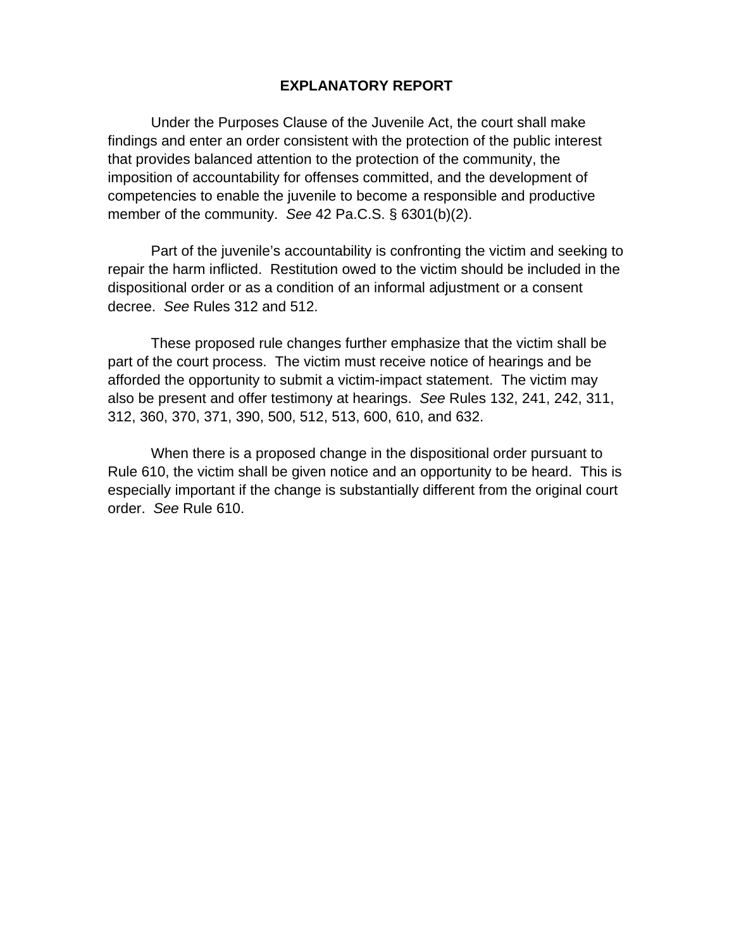# **EXPLANATORY REPORT**

Under the Purposes Clause of the Juvenile Act, the court shall make findings and enter an order consistent with the protection of the public interest that provides balanced attention to the protection of the community, the imposition of accountability for offenses committed, and the development of competencies to enable the juvenile to become a responsible and productive member of the community. *See* 42 Pa.C.S. § 6301(b)(2).

Part of the juvenile's accountability is confronting the victim and seeking to repair the harm inflicted. Restitution owed to the victim should be included in the dispositional order or as a condition of an informal adjustment or a consent decree. *See* Rules 312 and 512.

These proposed rule changes further emphasize that the victim shall be part of the court process. The victim must receive notice of hearings and be afforded the opportunity to submit a victim-impact statement. The victim may also be present and offer testimony at hearings. *See* Rules 132, 241, 242, 311, 312, 360, 370, 371, 390, 500, 512, 513, 600, 610, and 632.

When there is a proposed change in the dispositional order pursuant to Rule 610, the victim shall be given notice and an opportunity to be heard. This is especially important if the change is substantially different from the original court order. *See* Rule 610.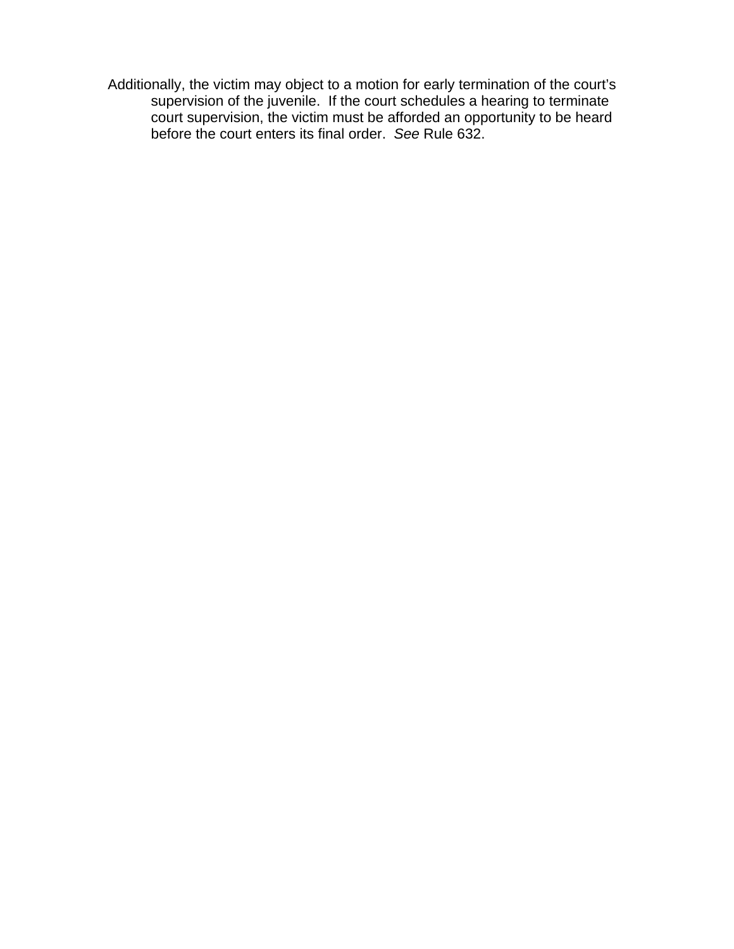Additionally, the victim may object to a motion for early termination of the court's supervision of the juvenile. If the court schedules a hearing to terminate court supervision, the victim must be afforded an opportunity to be heard before the court enters its final order. *See* Rule 632.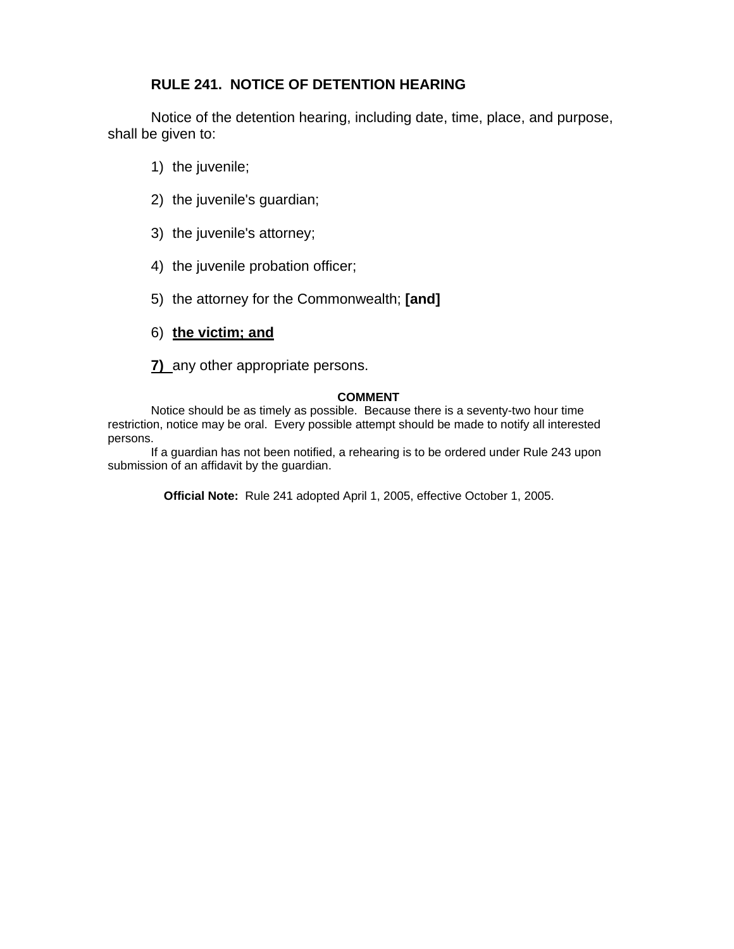# **RULE 241. NOTICE OF DETENTION HEARING**

Notice of the detention hearing, including date, time, place, and purpose, shall be given to:

- 1) the juvenile;
- 2) the juvenile's guardian;
- 3) the juvenile's attorney;
- 4) the juvenile probation officer;
- 5) the attorney for the Commonwealth; **[and]**
- 6) **the victim; and**

**7)** any other appropriate persons.

## **COMMENT**

Notice should be as timely as possible. Because there is a seventy-two hour time restriction, notice may be oral. Every possible attempt should be made to notify all interested persons.

If a guardian has not been notified, a rehearing is to be ordered under Rule 243 upon submission of an affidavit by the guardian.

**Official Note:** Rule 241 adopted April 1, 2005, effective October 1, 2005.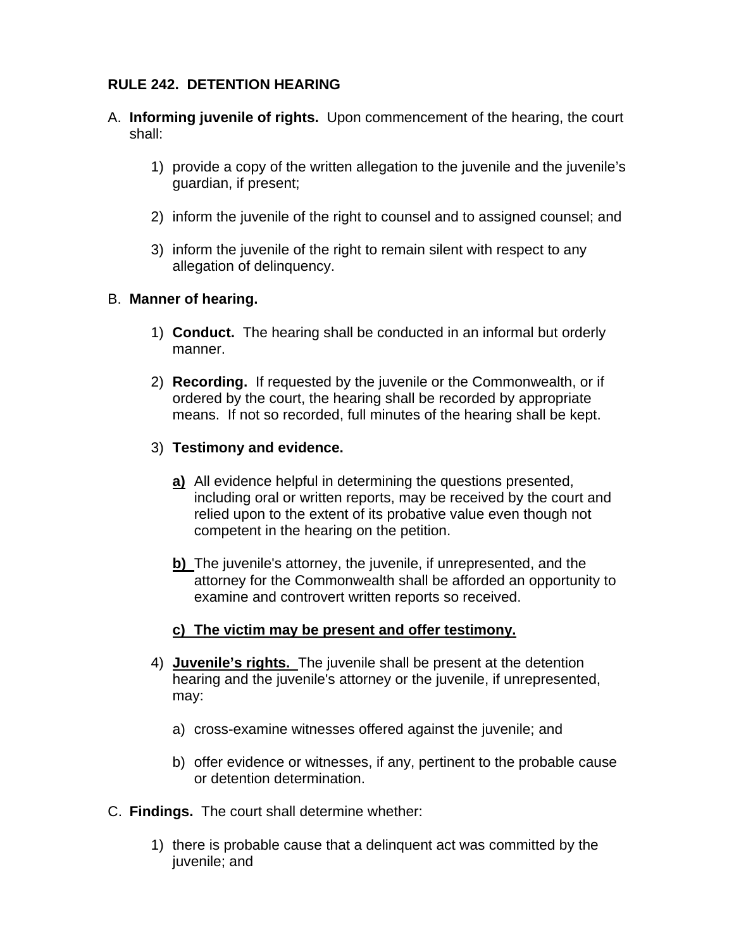# **RULE 242. DETENTION HEARING**

- A. **Informing juvenile of rights.** Upon commencement of the hearing, the court shall:
	- 1) provide a copy of the written allegation to the juvenile and the juvenile's guardian, if present;
	- 2) inform the juvenile of the right to counsel and to assigned counsel; and
	- 3) inform the juvenile of the right to remain silent with respect to any allegation of delinquency.

# B. **Manner of hearing.**

- 1) **Conduct.** The hearing shall be conducted in an informal but orderly manner.
- 2) **Recording.** If requested by the juvenile or the Commonwealth, or if ordered by the court, the hearing shall be recorded by appropriate means. If not so recorded, full minutes of the hearing shall be kept.
- 3) **Testimony and evidence.** 
	- **a)** All evidence helpful in determining the questions presented, including oral or written reports, may be received by the court and relied upon to the extent of its probative value even though not competent in the hearing on the petition.
	- **b)** The juvenile's attorney, the juvenile, if unrepresented, and the attorney for the Commonwealth shall be afforded an opportunity to examine and controvert written reports so received.

# **c) The victim may be present and offer testimony.**

- 4) **Juvenile's rights.** The juvenile shall be present at the detention hearing and the juvenile's attorney or the juvenile, if unrepresented, may:
	- a) cross-examine witnesses offered against the juvenile; and
	- b) offer evidence or witnesses, if any, pertinent to the probable cause or detention determination.
- C. **Findings.** The court shall determine whether:
	- 1) there is probable cause that a delinquent act was committed by the juvenile; and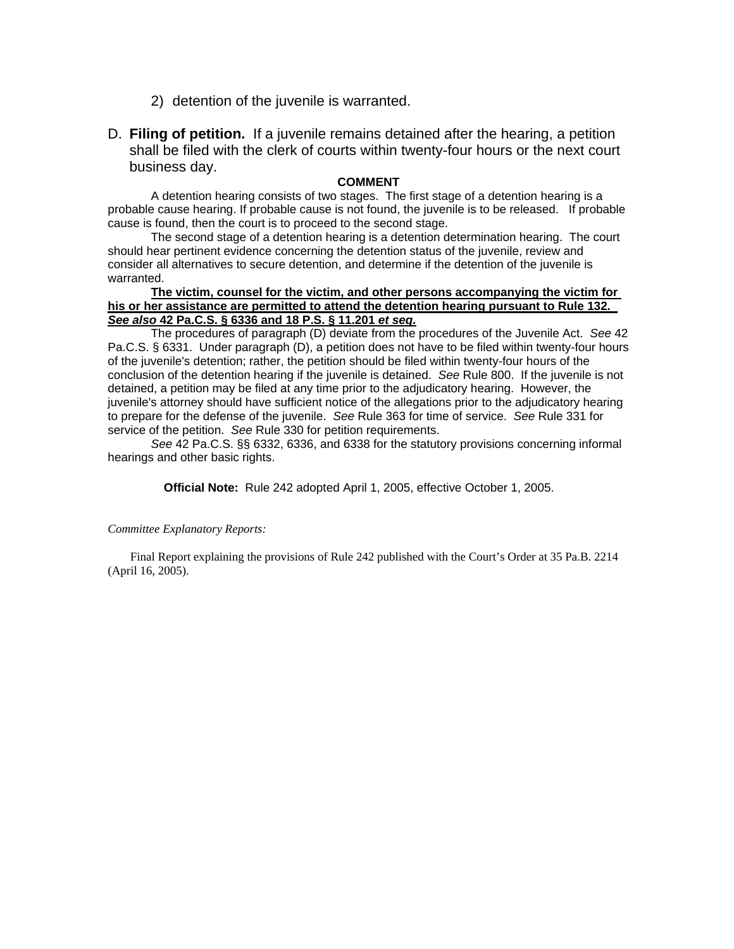- 2) detention of the juvenile is warranted.
- D. **Filing of petition.** If a juvenile remains detained after the hearing, a petition shall be filed with the clerk of courts within twenty-four hours or the next court business day.

### **COMMENT**

A detention hearing consists of two stages. The first stage of a detention hearing is a probable cause hearing. If probable cause is not found, the juvenile is to be released. If probable cause is found, then the court is to proceed to the second stage.

The second stage of a detention hearing is a detention determination hearing. The court should hear pertinent evidence concerning the detention status of the juvenile, review and consider all alternatives to secure detention, and determine if the detention of the juvenile is warranted.

## **The victim, counsel for the victim, and other persons accompanying the victim for his or her assistance are permitted to attend the detention hearing pursuant to Rule 132.**  *See also* **42 Pa.C.S. § 6336 and 18 P.S. § 11.201** *et seq.*

The procedures of paragraph (D) deviate from the procedures of the Juvenile Act. *See* 42 Pa.C.S. § 6331. Under paragraph (D), a petition does not have to be filed within twenty-four hours of the juvenile's detention; rather, the petition should be filed within twenty-four hours of the conclusion of the detention hearing if the juvenile is detained. *See* Rule 800. If the juvenile is not detained, a petition may be filed at any time prior to the adjudicatory hearing. However, the juvenile's attorney should have sufficient notice of the allegations prior to the adjudicatory hearing to prepare for the defense of the juvenile. *See* Rule 363 for time of service. *See* Rule 331 for service of the petition. *See* Rule 330 for petition requirements.

*See* 42 Pa.C.S. §§ 6332, 6336, and 6338 for the statutory provisions concerning informal hearings and other basic rights.

**Official Note:** Rule 242 adopted April 1, 2005, effective October 1, 2005.

### *Committee Explanatory Reports:*

Final Report explaining the provisions of Rule 242 published with the Court's Order at 35 Pa.B. 2214 (April 16, 2005).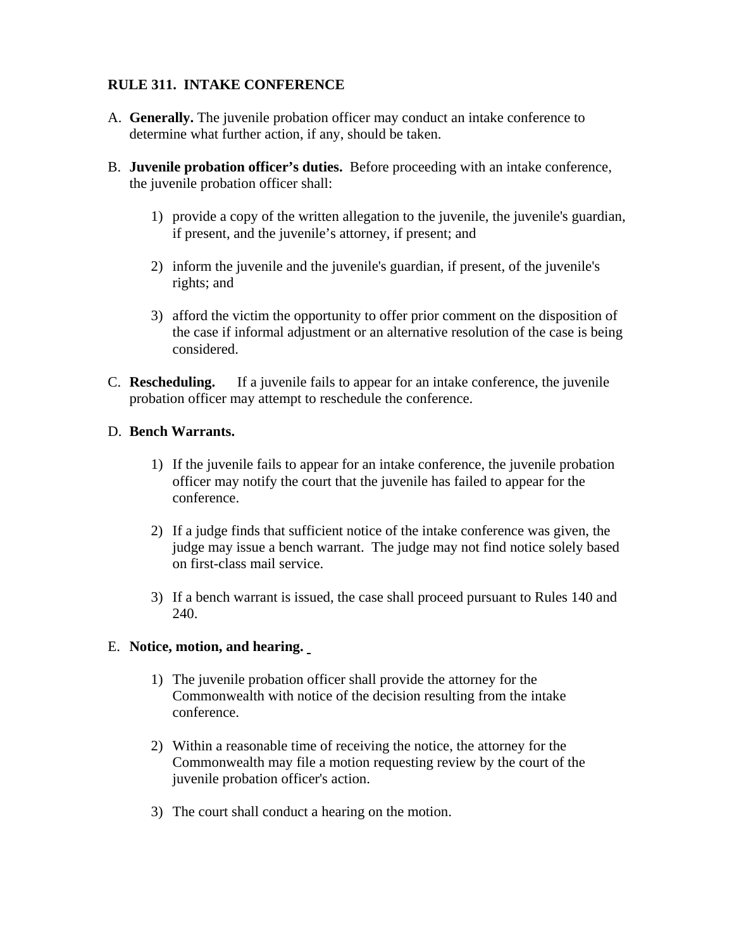# **RULE 311. INTAKE CONFERENCE**

- A. **Generally.** The juvenile probation officer may conduct an intake conference to determine what further action, if any, should be taken.
- B. **Juvenile probation officer's duties.** Before proceeding with an intake conference, the juvenile probation officer shall:
	- 1) provide a copy of the written allegation to the juvenile, the juvenile's guardian, if present, and the juvenile's attorney, if present; and
	- 2) inform the juvenile and the juvenile's guardian, if present, of the juvenile's rights; and
	- 3) afford the victim the opportunity to offer prior comment on the disposition of the case if informal adjustment or an alternative resolution of the case is being considered.
- C. **Rescheduling.** If a juvenile fails to appear for an intake conference, the juvenile probation officer may attempt to reschedule the conference.

# D. **Bench Warrants.**

- 1) If the juvenile fails to appear for an intake conference, the juvenile probation officer may notify the court that the juvenile has failed to appear for the conference.
- 2) If a judge finds that sufficient notice of the intake conference was given, the judge may issue a bench warrant. The judge may not find notice solely based on first-class mail service.
- 3) If a bench warrant is issued, the case shall proceed pursuant to Rules 140 and 240.

# E. **Notice, motion, and hearing.**

- 1) The juvenile probation officer shall provide the attorney for the Commonwealth with notice of the decision resulting from the intake conference.
- 2) Within a reasonable time of receiving the notice, the attorney for the Commonwealth may file a motion requesting review by the court of the juvenile probation officer's action.
- 3) The court shall conduct a hearing on the motion.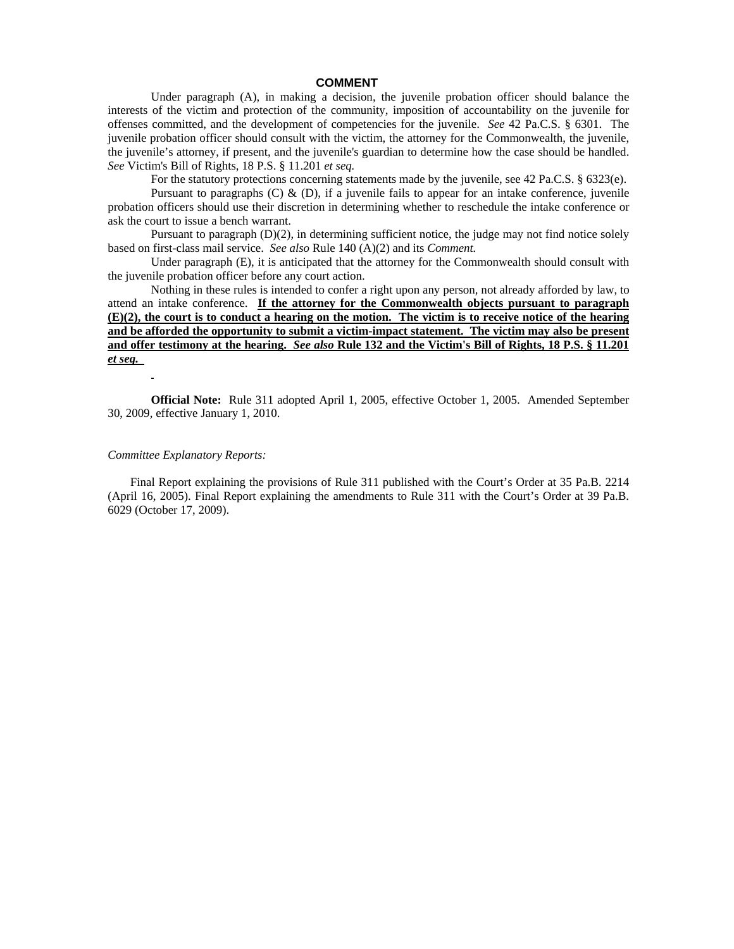#### **COMMENT**

Under paragraph (A), in making a decision, the juvenile probation officer should balance the interests of the victim and protection of the community, imposition of accountability on the juvenile for offenses committed, and the development of competencies for the juvenile. *See* 42 Pa.C.S. § 6301. The juvenile probation officer should consult with the victim, the attorney for the Commonwealth, the juvenile, the juvenile's attorney, if present, and the juvenile's guardian to determine how the case should be handled. *See* Victim's Bill of Rights, 18 P.S. § 11.201 *et seq.*

For the statutory protections concerning statements made by the juvenile, see 42 Pa.C.S. § 6323(e).

Pursuant to paragraphs  $(C)$  &  $(D)$ , if a juvenile fails to appear for an intake conference, juvenile probation officers should use their discretion in determining whether to reschedule the intake conference or ask the court to issue a bench warrant.

Pursuant to paragraph (D)(2), in determining sufficient notice, the judge may not find notice solely based on first-class mail service. *See also* Rule 140 (A)(2) and its *Comment.*

Under paragraph (E), it is anticipated that the attorney for the Commonwealth should consult with the juvenile probation officer before any court action.

Nothing in these rules is intended to confer a right upon any person, not already afforded by law, to attend an intake conference. **If the attorney for the Commonwealth objects pursuant to paragraph (E)(2), the court is to conduct a hearing on the motion. The victim is to receive notice of the hearing and be afforded the opportunity to submit a victim-impact statement. The victim may also be present and offer testimony at the hearing.** *See also* **Rule 132 and the Victim's Bill of Rights, 18 P.S. § 11.201**  *et seq.*

**Official Note:** Rule 311 adopted April 1, 2005, effective October 1, 2005. Amended September 30, 2009, effective January 1, 2010.

#### *Committee Explanatory Reports:*

Final Report explaining the provisions of Rule 311 published with the Court's Order at 35 Pa.B. 2214 (April 16, 2005). Final Report explaining the amendments to Rule 311 with the Court's Order at 39 Pa.B. 6029 (October 17, 2009).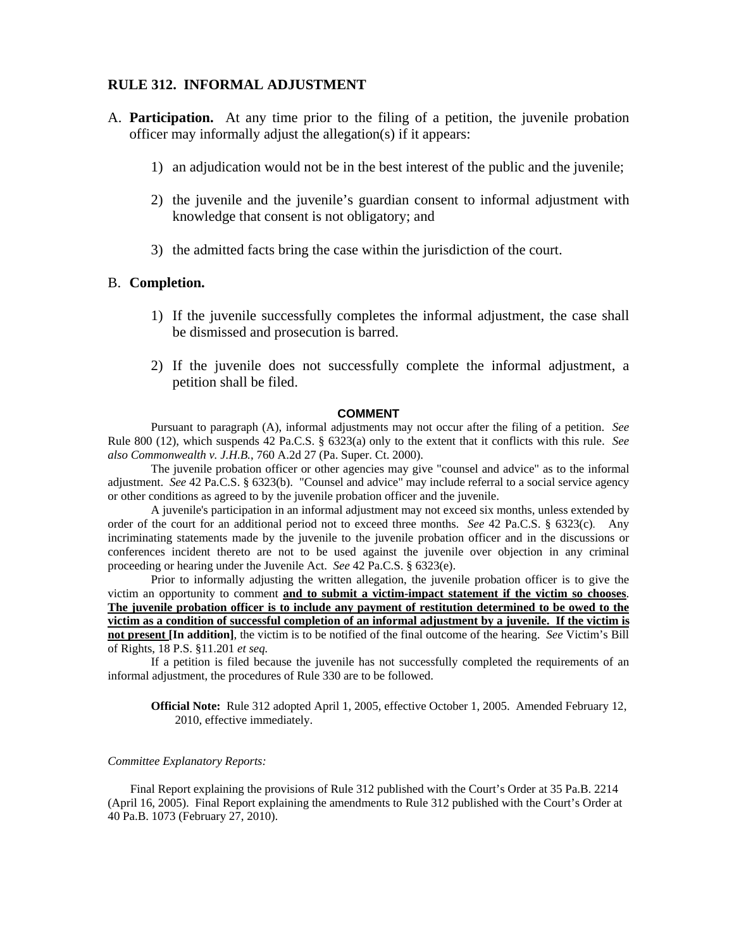## **RULE 312. INFORMAL ADJUSTMENT**

- A. **Participation.** At any time prior to the filing of a petition, the juvenile probation officer may informally adjust the allegation(s) if it appears:
	- 1) an adjudication would not be in the best interest of the public and the juvenile;
	- 2) the juvenile and the juvenile's guardian consent to informal adjustment with knowledge that consent is not obligatory; and
	- 3) the admitted facts bring the case within the jurisdiction of the court.

## B. **Completion.**

- 1) If the juvenile successfully completes the informal adjustment, the case shall be dismissed and prosecution is barred.
- 2) If the juvenile does not successfully complete the informal adjustment, a petition shall be filed.

#### **COMMENT**

Pursuant to paragraph (A), informal adjustments may not occur after the filing of a petition. *See*  Rule 800 (12), which suspends 42 Pa.C.S. § 6323(a) only to the extent that it conflicts with this rule. *See also Commonwealth v. J.H.B.*, 760 A.2d 27 (Pa. Super. Ct. 2000).

The juvenile probation officer or other agencies may give "counsel and advice" as to the informal adjustment. *See* 42 Pa.C.S. § 6323(b). "Counsel and advice" may include referral to a social service agency or other conditions as agreed to by the juvenile probation officer and the juvenile.

A juvenile's participation in an informal adjustment may not exceed six months, unless extended by order of the court for an additional period not to exceed three months. *See* 42 Pa.C.S. § 6323(c). Any incriminating statements made by the juvenile to the juvenile probation officer and in the discussions or conferences incident thereto are not to be used against the juvenile over objection in any criminal proceeding or hearing under the Juvenile Act. *See* 42 Pa.C.S. § 6323(e).

Prior to informally adjusting the written allegation, the juvenile probation officer is to give the victim an opportunity to comment **and to submit a victim-impact statement if the victim so chooses**. **The juvenile probation officer is to include any payment of restitution determined to be owed to the victim as a condition of successful completion of an informal adjustment by a juvenile. If the victim is not present [In addition]**, the victim is to be notified of the final outcome of the hearing. *See* Victim's Bill of Rights, 18 P.S. §11.201 *et seq.* 

If a petition is filed because the juvenile has not successfully completed the requirements of an informal adjustment, the procedures of Rule 330 are to be followed.

**Official Note:** Rule 312 adopted April 1, 2005, effective October 1, 2005. Amended February 12, 2010, effective immediately.

#### *Committee Explanatory Reports:*

Final Report explaining the provisions of Rule 312 published with the Court's Order at 35 Pa.B. 2214 (April 16, 2005). Final Report explaining the amendments to Rule 312 published with the Court's Order at 40 Pa.B. 1073 (February 27, 2010).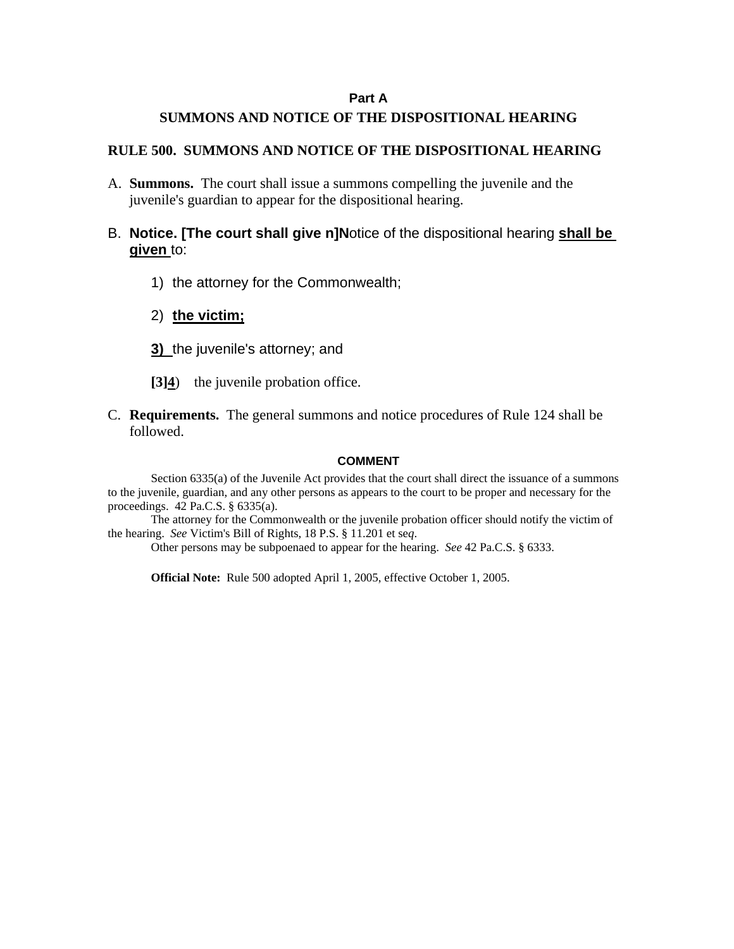## **Part A**

## **SUMMONS AND NOTICE OF THE DISPOSITIONAL HEARING**

## **RULE 500. SUMMONS AND NOTICE OF THE DISPOSITIONAL HEARING**

- A. **Summons.** The court shall issue a summons compelling the juvenile and the juvenile's guardian to appear for the dispositional hearing.
- B. **Notice. [The court shall give n]N**otice of the dispositional hearing **shall be given** to:
	- 1) the attorney for the Commonwealth;
	- 2) **the victim;**
	- **3)** the juvenile's attorney; and
	- **[3]4**) the juvenile probation office.
- C. **Requirements.** The general summons and notice procedures of Rule 124 shall be followed.

### **COMMENT**

Section 6335(a) of the Juvenile Act provides that the court shall direct the issuance of a summons to the juvenile, guardian, and any other persons as appears to the court to be proper and necessary for the proceedings. 42 Pa.C.S. § 6335(a).

The attorney for the Commonwealth or the juvenile probation officer should notify the victim of the hearing. *See* Victim's Bill of Rights, 18 P.S. § 11.201 et se*q*.

Other persons may be subpoenaed to appear for the hearing. *See* 42 Pa.C.S. § 6333.

**Official Note:** Rule 500 adopted April 1, 2005, effective October 1, 2005.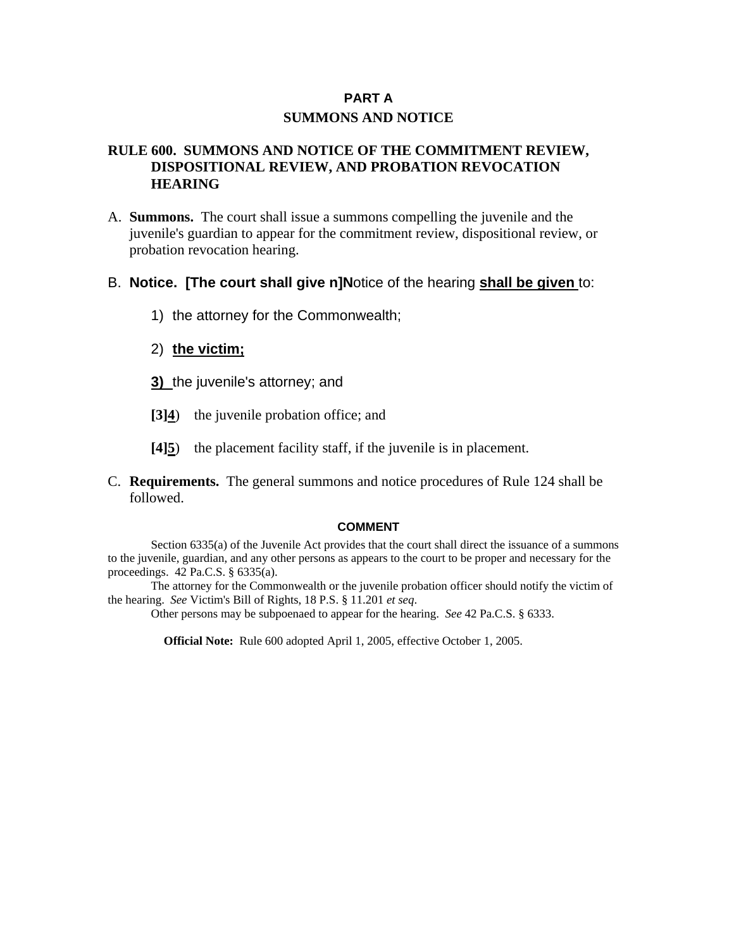# **PART A SUMMONS AND NOTICE**

# **RULE 600. SUMMONS AND NOTICE OF THE COMMITMENT REVIEW, DISPOSITIONAL REVIEW, AND PROBATION REVOCATION HEARING**

A. **Summons.** The court shall issue a summons compelling the juvenile and the juvenile's guardian to appear for the commitment review, dispositional review, or probation revocation hearing.

# B. **Notice. [The court shall give n]N**otice of the hearing **shall be given** to:

- 1) the attorney for the Commonwealth;
- 2) **the victim;**
- **3)** the juvenile's attorney; and
- **[3]4**) the juvenile probation office; and
- **[4]5**) the placement facility staff, if the juvenile is in placement.
- C. **Requirements.** The general summons and notice procedures of Rule 124 shall be followed.

### **COMMENT**

Section 6335(a) of the Juvenile Act provides that the court shall direct the issuance of a summons to the juvenile, guardian, and any other persons as appears to the court to be proper and necessary for the proceedings. 42 Pa.C.S. § 6335(a).

The attorney for the Commonwealth or the juvenile probation officer should notify the victim of the hearing. *See* Victim's Bill of Rights, 18 P.S. § 11.201 *et seq*.

Other persons may be subpoenaed to appear for the hearing. *See* 42 Pa.C.S. § 6333.

**Official Note:** Rule 600 adopted April 1, 2005, effective October 1, 2005.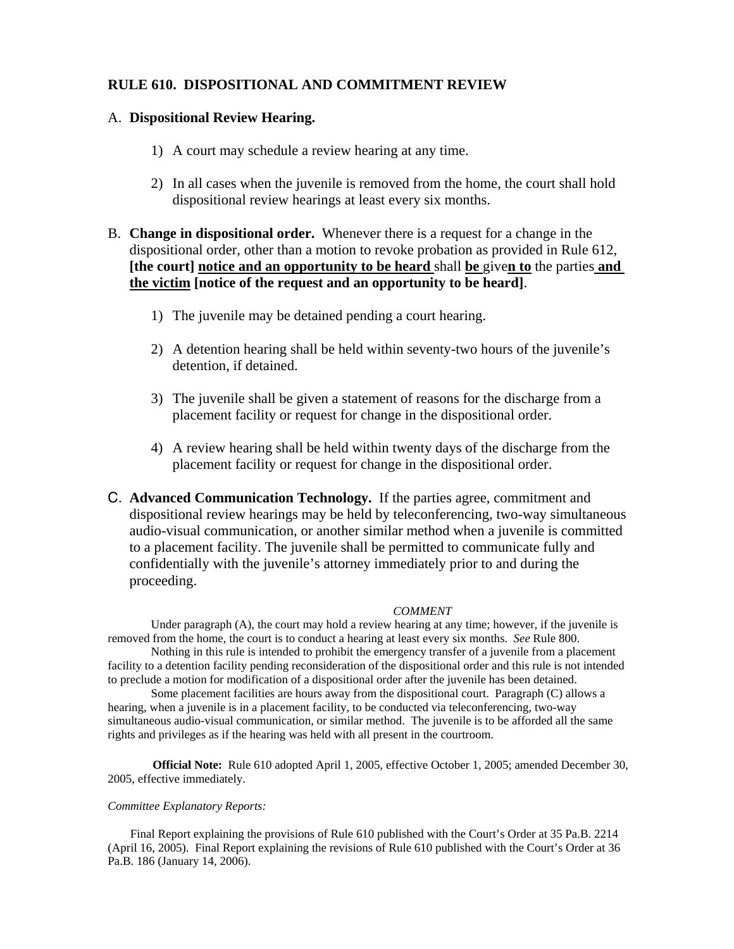## **RULE 610. DISPOSITIONAL AND COMMITMENT REVIEW**

## A. **Dispositional Review Hearing.**

- 1) A court may schedule a review hearing at any time.
- 2) In all cases when the juvenile is removed from the home, the court shall hold dispositional review hearings at least every six months.
- B. **Change in dispositional order.** Whenever there is a request for a change in the dispositional order, other than a motion to revoke probation as provided in Rule 612, **[the court] notice and an opportunity to be heard** shall **be** give**n to** the parties **and the victim [notice of the request and an opportunity to be heard]**.
	- 1) The juvenile may be detained pending a court hearing.
	- 2) A detention hearing shall be held within seventy-two hours of the juvenile's detention, if detained.
	- 3) The juvenile shall be given a statement of reasons for the discharge from a placement facility or request for change in the dispositional order.
	- 4) A review hearing shall be held within twenty days of the discharge from the placement facility or request for change in the dispositional order.

C. **Advanced Communication Technology.** If the parties agree, commitment and dispositional review hearings may be held by teleconferencing, two-way simultaneous audio-visual communication, or another similar method when a juvenile is committed to a placement facility. The juvenile shall be permitted to communicate fully and confidentially with the juvenile's attorney immediately prior to and during the proceeding.

#### *COMMENT*

Under paragraph (A), the court may hold a review hearing at any time; however, if the juvenile is removed from the home, the court is to conduct a hearing at least every six months. *See* Rule 800.

Nothing in this rule is intended to prohibit the emergency transfer of a juvenile from a placement facility to a detention facility pending reconsideration of the dispositional order and this rule is not intended to preclude a motion for modification of a dispositional order after the juvenile has been detained.

Some placement facilities are hours away from the dispositional court. Paragraph (C) allows a hearing, when a juvenile is in a placement facility, to be conducted via teleconferencing, two-way simultaneous audio-visual communication, or similar method. The juvenile is to be afforded all the same rights and privileges as if the hearing was held with all present in the courtroom.

**Official Note:** Rule 610 adopted April 1, 2005, effective October 1, 2005; amended December 30, 2005, effective immediately.

#### *Committee Explanatory Reports:*

Final Report explaining the provisions of Rule 610 published with the Court's Order at 35 Pa.B. 2214 (April 16, 2005). Final Report explaining the revisions of Rule 610 published with the Court's Order at 36 Pa.B. 186 (January 14, 2006).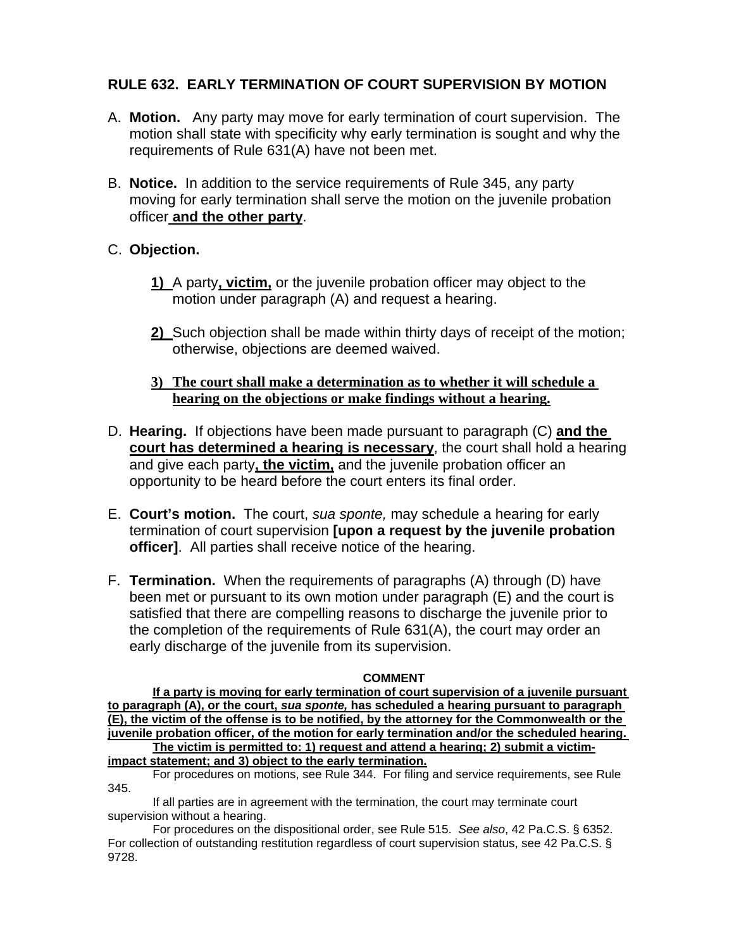# **RULE 632. EARLY TERMINATION OF COURT SUPERVISION BY MOTION**

- A. **Motion.** Any party may move for early termination of court supervision. The motion shall state with specificity why early termination is sought and why the requirements of Rule 631(A) have not been met.
- B. **Notice.** In addition to the service requirements of Rule 345, any party moving for early termination shall serve the motion on the juvenile probation officer **and the other party**.

# C. **Objection.**

- **1)** A party**, victim,** or the juvenile probation officer may object to the motion under paragraph (A) and request a hearing.
- **2)** Such objection shall be made within thirty days of receipt of the motion; otherwise, objections are deemed waived.
- **3) The court shall make a determination as to whether it will schedule a hearing on the objections or make findings without a hearing.**
- D. **Hearing.** If objections have been made pursuant to paragraph (C) **and the court has determined a hearing is necessary**, the court shall hold a hearing and give each party**, the victim,** and the juvenile probation officer an opportunity to be heard before the court enters its final order.
- E. **Court's motion.** The court, *sua sponte,* may schedule a hearing for early termination of court supervision **[upon a request by the juvenile probation officer]**. All parties shall receive notice of the hearing.
- F. **Termination.** When the requirements of paragraphs (A) through (D) have been met or pursuant to its own motion under paragraph (E) and the court is satisfied that there are compelling reasons to discharge the juvenile prior to the completion of the requirements of Rule 631(A), the court may order an early discharge of the juvenile from its supervision.

## **COMMENT**

**If a party is moving for early termination of court supervision of a juvenile pursuant to paragraph (A), or the court,** *sua sponte,* **has scheduled a hearing pursuant to paragraph (E), the victim of the offense is to be notified, by the attorney for the Commonwealth or the juvenile probation officer, of the motion for early termination and/or the scheduled hearing. The victim is permitted to: 1) request and attend a hearing; 2) submit a victimimpact statement; and 3) object to the early termination.**

For procedures on motions, see Rule 344. For filing and service requirements, see Rule 345.

If all parties are in agreement with the termination, the court may terminate court supervision without a hearing.

For procedures on the dispositional order, see Rule 515. *See also*, 42 Pa.C.S. § 6352. For collection of outstanding restitution regardless of court supervision status, see 42 Pa.C.S. § 9728.